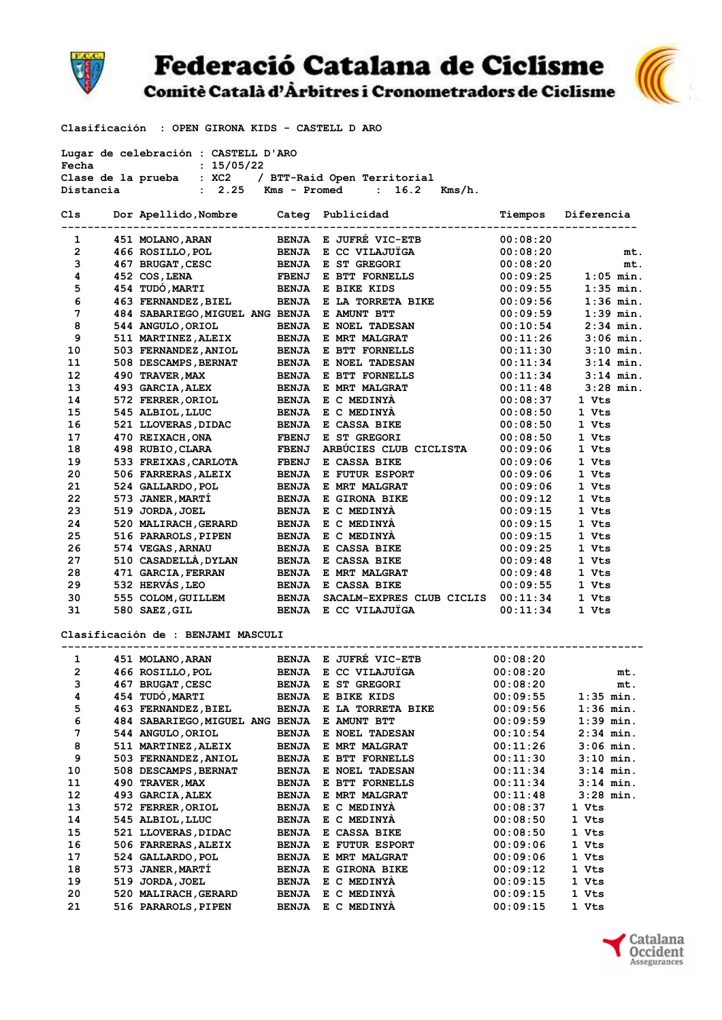

## **Federació Catalana de Ciclisme**





Clasificación : OPEN GIRONA KIDS - CASTELL D ARO

| Lugar de celebración : CASTELL D'ARO                 |  |                                                                  |              |                                              |                      |             |  |  |  |
|------------------------------------------------------|--|------------------------------------------------------------------|--------------|----------------------------------------------|----------------------|-------------|--|--|--|
| Fecha<br>: 15/05/22                                  |  |                                                                  |              |                                              |                      |             |  |  |  |
| Clase de la prueba : XC2 / BTT-Raid Open Territorial |  |                                                                  |              |                                              |                      |             |  |  |  |
| Distancia                                            |  | : 2.25                                                           | Kms - Promed | : 16.2<br>$Kms/h$ .                          |                      |             |  |  |  |
| Cls                                                  |  | Dor Apellido, Nombre Categ Publicidad                            |              |                                              | Tiempos              | Diferencia  |  |  |  |
| 1                                                    |  |                                                                  |              | BENJA E JUFRÉ VIC-ETB                        | 00:08:20             |             |  |  |  |
| $\overline{2}$                                       |  | 451 MOLANO, ARAN<br>466 ROSILLO, POL                             |              | BENJA E CC VILAJUÏGA                         | 00:08:20             |             |  |  |  |
| 3                                                    |  | 467 BRUGAT, CESC                                                 |              | BENJA E ST GREGORI                           | 00:08:20             | mt.<br>mt.  |  |  |  |
| 4                                                    |  | 452 COS, LENA                                                    |              |                                              |                      | $1:05$ min. |  |  |  |
| 5                                                    |  | 454 TUDÓ, MARTI                                                  |              | FBENJ E BTT FORNELLS                         | 00:09:25             | $1:35$ min. |  |  |  |
| 6                                                    |  |                                                                  |              | BENJA E BIKE KIDS<br>BENJA E LA TORRETA BIKE | 00:09:55             | $1:36$ min. |  |  |  |
| 7                                                    |  | 463 FERNANDEZ, BIEL                                              |              |                                              | 00:09:56             | $1:39$ min. |  |  |  |
| 8                                                    |  | 484 SABARIEGO, MIGUEL ANG BENJA E AMUNT BTT<br>544 ANGULO, ORIOL |              | BENJA E NOEL TADESAN                         | 00:09:59<br>00:10:54 | $2:34$ min. |  |  |  |
| 9                                                    |  |                                                                  |              | <b>BENJA E MRT MALGRAT</b>                   | 00:11:26             | $3:06$ min. |  |  |  |
|                                                      |  | 511 MARTINEZ,ALEIX                                               |              |                                              |                      | $3:10$ min. |  |  |  |
| 10                                                   |  | 503 FERNANDEZ, ANIOL                                             |              | BENJA E BTT FORNELLS                         | 00:11:30             | $3:14$ min. |  |  |  |
| 11<br>12                                             |  | 508 DESCAMPS, BERNAT                                             |              | BENJA E NOEL TADESAN                         | 00:11:34             | $3:14$ min. |  |  |  |
|                                                      |  | 490 TRAVER, MAX<br>493 GARCIA, ALEX                              |              | BENJA E BTT FORNELLS                         | 00:11:34             | $3:28$ min. |  |  |  |
| 13                                                   |  |                                                                  |              | <b>BENJA E MRT MALGRAT</b>                   | 00:11:48             |             |  |  |  |
| 14                                                   |  | 572 FERRER, ORIOL                                                |              | BENJA E C MEDINYA                            | 00:08:37             | 1 Vts       |  |  |  |
| 15                                                   |  | 545 ALBIOL, LLUC                                                 |              | BENJA E C MEDINYÀ                            | 00:08:50             | 1 Vts       |  |  |  |
| 16                                                   |  | 521 LLOVERAS, DIDAC                                              |              | BENJA E CASSA BIKE                           | 00:08:50             | 1 Vts       |  |  |  |
| 17                                                   |  | 470 REIXACH, ONA                                                 | <b>FBENJ</b> | E ST GREGORI                                 | 00:08:50             | 1 Vts       |  |  |  |
| 18                                                   |  | 498 RUBIO, CLARA                                                 | <b>FBENJ</b> | ARBÚCIES CLUB CICLISTA                       | 00:09:06             | 1 Vts       |  |  |  |
| 19                                                   |  | 533 FREIXAS, CARLOTA                                             | <b>FBENJ</b> | E CASSA BIKE                                 | 00:09:06             | 1 Vts       |  |  |  |
| 20                                                   |  | 506 FARRERAS, ALEIX                                              | <b>BENJA</b> | <b>E FUTUR ESPORT</b>                        | 00:09:06             | 1 Vts       |  |  |  |
| 21                                                   |  | 524 GALLARDO, POL                                                |              | BENJA E MRT MALGRAT                          | 00:09:06             | 1 Vts       |  |  |  |
| 22                                                   |  | 573 JANER, MARTÍ                                                 |              | BENJA E GIRONA BIKE                          | 00:09:12             | 1 Vts       |  |  |  |
| 23                                                   |  | 519 JORDA, JOEL                                                  |              | BENJA E C MEDINYA                            | 00:09:15             | 1 Vts       |  |  |  |
| 24                                                   |  | 520 MALIRACH, GERARD                                             |              | BENJA E C MEDINYA                            | 00:09:15             | 1 Vts       |  |  |  |
| 25                                                   |  | 516 PARAROLS, PIPEN                                              |              | BENJA E C MEDINYA                            | 00:09:15             | 1 Vts       |  |  |  |
| 26                                                   |  | 574 VEGAS, ARNAU                                                 |              | <b>BENJA E CASSA BIKE</b>                    | 00:09:25             | 1 Vts       |  |  |  |
| 27                                                   |  | 510 CASADELLA, DYLAN                                             |              | BENJA E CASSA BIKE                           | 00:09:48             | 1 Vts       |  |  |  |
| 28                                                   |  | 471 GARCIA, FERRAN                                               |              | BENJA E MRT MALGRAT                          | 00:09:48             | 1 Vts       |  |  |  |
| 29                                                   |  | 532 HERVÁS, LEO                                                  |              | BENJA E CASSA BIKE                           | 00:09:55             | 1 Vts       |  |  |  |
| 30                                                   |  | 555 COLOM, GUILLEM                                               | <b>BENJA</b> | SACALM-EXPRES CLUB CICLIS                    | 00:11:34             | 1 Vts       |  |  |  |
| 31                                                   |  | 580 SAEZ, GIL                                                    | <b>BENJA</b> | E CC VILAJUÏGA                               | 00:11:34             | 1 Vts       |  |  |  |
|                                                      |  | Clasificación de : BENJAMI MASCULI                               |              |                                              |                      |             |  |  |  |
| 1                                                    |  | 451 MOLANO, ARAN                                                 |              | BENJA E JUFRÉ VIC-ETB                        | 00:08:20             |             |  |  |  |
| $\overline{2}$                                       |  | 466 ROSILLO, POL                                                 |              | BENJA E CC VILAJUÏGA                         | 00:08:20             | mt.         |  |  |  |
| 3                                                    |  | 467 BRUGAT, CESC                                                 | <b>BENJA</b> | E ST GREGORI                                 | 00:08:20             | mt.         |  |  |  |
| 4                                                    |  | 454 TUDÓ, MARTI                                                  | <b>BENJA</b> | E BIKE KIDS                                  | 00:09:55             | $1:35$ min. |  |  |  |
| 5                                                    |  | 463 FERNANDEZ, BIEL                                              | <b>BENJA</b> | E LA TORRETA BIKE                            | 00:09:56             | $1:36$ min. |  |  |  |
| 6                                                    |  | 484 SABARIEGO, MIGUEL ANG BENJA                                  |              | E AMUNT BTT                                  | 00:09:59             | $1:39$ min. |  |  |  |
| 7                                                    |  | 544 ANGULO, ORIOL                                                | <b>BENJA</b> | E NOEL TADESAN                               | 00:10:54             | $2:34$ min. |  |  |  |
| 8                                                    |  | 511 MARTINEZ, ALEIX                                              | <b>BENJA</b> | E MRT MALGRAT                                | 00:11:26             | 3:06 min.   |  |  |  |
| 9                                                    |  | 503 FERNANDEZ, ANIOL                                             | <b>BENJA</b> | E BTT FORNELLS                               | 00:11:30             | 3:10 min.   |  |  |  |
| 10                                                   |  | 508 DESCAMPS, BERNAT                                             | <b>BENJA</b> | <b>E NOEL TADESAN</b>                        | 00:11:34             | $3:14$ min. |  |  |  |
| 11                                                   |  | 490 TRAVER, MAX                                                  | <b>BENJA</b> | E BTT FORNELLS                               | 00:11:34             | 3:14 min.   |  |  |  |
| 12                                                   |  | 493 GARCIA, ALEX                                                 | <b>BENJA</b> | E MRT MALGRAT                                | 00:11:48             | 3:28 min.   |  |  |  |
| 13                                                   |  | 572 FERRER, ORIOL                                                | <b>BENJA</b> | E C MEDINYÀ                                  | 00:08:37             | 1 Vts       |  |  |  |
| 14                                                   |  | 545 ALBIOL, LLUC                                                 | <b>BENJA</b> | E C MEDINYA                                  | 00:08:50             | 1 Vts       |  |  |  |
| 15                                                   |  | 521 LLOVERAS, DIDAC                                              | <b>BENJA</b> | E CASSA BIKE                                 | 00:08:50             | 1 Vts       |  |  |  |
| 16                                                   |  | 506 FARRERAS, ALEIX                                              | <b>BENJA</b> | <b>E FUTUR ESPORT</b>                        | 00:09:06             | 1 Vts       |  |  |  |
| 17                                                   |  | 524 GALLARDO, POL                                                | <b>BENJA</b> | E MRT MALGRAT                                | 00:09:06             | 1 Vts       |  |  |  |
| 18                                                   |  | 573 JANER, MARTI                                                 | <b>BENJA</b> | E GIRONA BIKE                                | 00:09:12             | 1 Vts       |  |  |  |
| 19                                                   |  | 519 JORDA, JOEL                                                  | <b>BENJA</b> | E C MEDINYA                                  | 00:09:15             | 1 Vts       |  |  |  |
| 20                                                   |  | 520 MALIRACH, GERARD                                             | <b>BENJA</b> | E C MEDINYA                                  | 00:09:15             | 1 Vts       |  |  |  |
| 21                                                   |  | 516 PARAROLS, PIPEN                                              | <b>BENJA</b> | E C MEDINYA                                  | 00:09:15             | 1 Vts       |  |  |  |